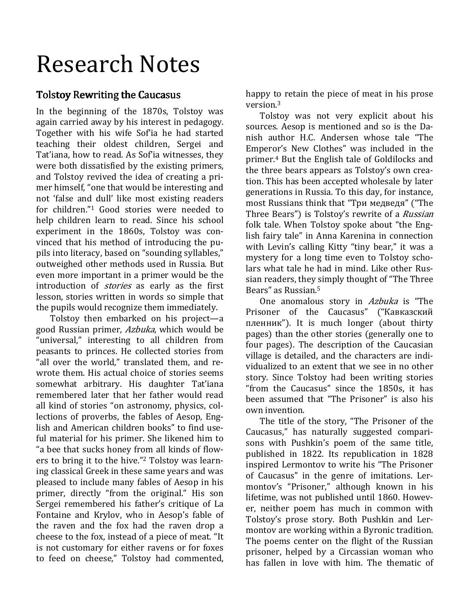# Research Notes

# Tolstoy Rewriting the Caucasus

In the beginning of the 1870s, Tolstoy was again carried away by his interest in pedagogy. Together with his wife Sof'ia he had started teaching their oldest children, Sergei and Tat'iana, how to read. As Sof'ia witnesses, they were both dissatisfied by the existing primers, and Tolstoy revived the idea of creating a primer himself, "one that would be interesting and not 'false and dull' like most existing readers for children."1 Good stories were needed to help children learn to read. Since his school experiment in the 1860s, Tolstoy was convinced that his method of introducing the pupils into literacy, based on "sounding syllables," outweighed other methods used in Russia. But even more important in a primer would be the introduction of *stories* as early as the first lesson, stories written in words so simple that the pupils would recognize them immediately.

Tolstoy then embarked on his project—a good Russian primer, Azbuka, which would be "universal," interesting to all children from peasants to princes. He collected stories from "all over the world," translated them, and rewrote them. His actual choice of stories seems somewhat arbitrary. His daughter Tat'iana remembered later that her father would read all kind of stories "on astronomy, physics, collections of proverbs, the fables of Aesop, English and American children books" to find useful material for his primer. She likened him to "a bee that sucks honey from all kinds of flowers to bring it to the hive."2 Tolstoy was learning classical Greek in these same years and was pleased to include many fables of Aesop in his primer, directly "from the original." His son Sergei remembered his father's critique of La Fontaine and Krylov, who in Aesop's fable of the raven and the fox had the raven drop a cheese to the fox, instead of a piece of meat. "It is not customary for either ravens or for foxes to feed on cheese," Tolstoy had commented, happy to retain the piece of meat in his prose version.<sup>3</sup>

Tolstoy was not very explicit about his sources. Aesop is mentioned and so is the Danish author H.C. Andersen whose tale "The Emperor's New Clothes" was included in the primer.4 But the English tale of Goldilocks and the three bears appears as Tolstoy's own creation. This has been accepted wholesale by later generations in Russia. To this day, for instance, most Russians think that "Три медведя" ("Тhe Three Bears") is Tolstoy's rewrite of a Russian folk tale. When Tolstoy spoke about "the English fairy tale" in Anna Karenina in connection with Levin's calling Kitty "tiny bear," it was a mystery for a long time even to Tolstoy scholars what tale he had in mind. Like other Russian readers, they simply thought of "The Three Bears" as Russian.<sup>5</sup>

One anomalous story in Azbuka is "The Prisoner of the Caucasus" ("Кавказский пленник"). It is much longer (about thirty pages) than the other stories (generally one to four pages). The description of the Caucasian village is detailed, and the characters are individualized to an extent that we see in no other story. Since Tolstoy had been writing stories "from the Caucasus" since the 1850s, it has been assumed that "The Prisoner" is also his own invention.

The title of the story, "The Prisoner of the Caucasus," has naturally suggested comparisons with Pushkin's poem of the same title, published in 1822. Its republication in 1828 inspired Lermontov to write his "The Prisoner of Caucasus" in the genre of imitations. Lermontov's "Prisoner," although known in his lifetime, was not published until 1860. However, neither poem has much in common with Tolstoy's prose story. Both Pushkin and Lermontov are working within a Byronic tradition. The poems center on the flight of the Russian prisoner, helped by a Circassian woman who has fallen in love with him. The thematic of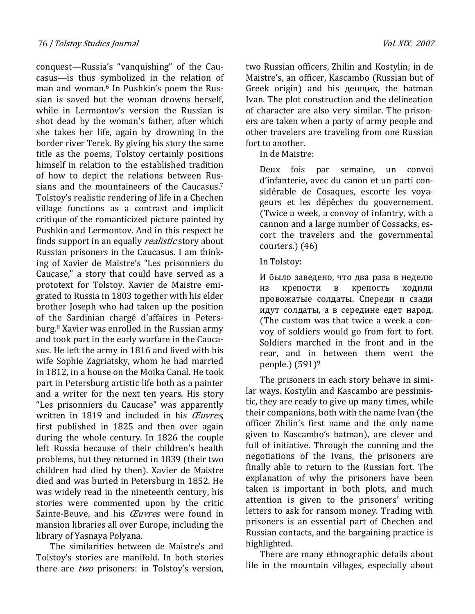conquest—Russia's "vanquishing" of the Caucasus—is thus symbolized in the relation of man and woman.<sup>6</sup> In Pushkin's poem the Russian is saved but the woman drowns herself, while in Lermontov's version the Russian is shot dead by the woman's father, after which she takes her life, again by drowning in the border river Terek. By giving his story the same title as the poems, Tolstoy certainly positions himself in relation to the established tradition of how to depict the relations between Russians and the mountaineers of the Caucasus.<sup>7</sup> Tolstoy's realistic rendering of life in a Chechen village functions as a contrast and implicit critique of the romanticized picture painted by Pushkin and Lermontov. And in this respect he finds support in an equally *realistic* story about Russian prisoners in the Caucasus. I am thinking of Xavier de Maistre's "Les prisonniers du Caucase," a story that could have served as a prototext for Tolstoy. Xavier de Maistre emigrated to Russia in 1803 together with his elder brother Joseph who had taken up the position of the Sardinian chargé d'affaires in Petersburg.8 Xavier was enrolled in the Russian army and took part in the early warfare in the Caucasus. He left the army in 1816 and lived with his wife Sophie Zagriatsky, whom he had married in 1812, in a house on the Moika Canal. He took part in Petersburg artistic life both as a painter and a writer for the next ten years. His story "Les prisonniers du Caucase" was apparently written in 1819 and included in his  $Euvres$ , first published in 1825 and then over again during the whole century. In 1826 the couple left Russia because of their children's health problems, but they returned in 1839 (their two children had died by then). Xavier de Maistre died and was buried in Petersburg in 1852. He was widely read in the nineteenth century, his stories were commented upon by the critic Sainte-Beuve, and his *Œuvres* were found in mansion libraries all over Europe, including the library of Yasnaya Polyana.

The similarities between de Maistre's and Tolstoy's stories are manifold. In both stories there are *two* prisoners: in Tolstoy's version,

two Russian officers, Zhilin and Kostylin; in de Maistre's, an officer, Kascambo (Russian but of Greek origin) and his денщик, the batman Ivan. The plot construction and the delineation of character are also very similar. The prisoners are taken when a party of army people and other travelers are traveling from one Russian fort to another.

In de Maistre:

Deux fois par semaine, un convoi d'infanterie, avec du canon et un parti considérable de Cosaques, escorte les voyageurs et les dépêches du gouvernement. (Twice a week, a convoy of infantry, with a cannon and a large number of Cossacks, escort the travelers and the governmental couriers.) (46)

## In Tolstoy:

И было заведено, что два раза в неделю из крепости в крепость ходили провожатые солдаты. Спереди и сзади идут солдаты, а в середине едет народ. (The custom was that twice a week a convoy of soldiers would go from fort to fort. Soldiers marched in the front and in the rear, and in between them went the people.) (591)<sup>9</sup>

The prisoners in each story behave in similar ways. Kostylin and Kascambo are pessimistic, they are ready to give up many times, while their companions, both with the name Ivan (the officer Zhilin's first name and the only name given to Kascambo's batman), are clever and full of initiative. Through the cunning and the negotiations of the Ivans, the prisoners are finally able to return to the Russian fort. The explanation of why the prisoners have been taken is important in both plots, and much attention is given to the prisoners' writing letters to ask for ransom money. Trading with prisoners is an essential part of Chechen and Russian contacts, and the bargaining practice is highlighted.

There are many ethnographic details about life in the mountain villages, especially about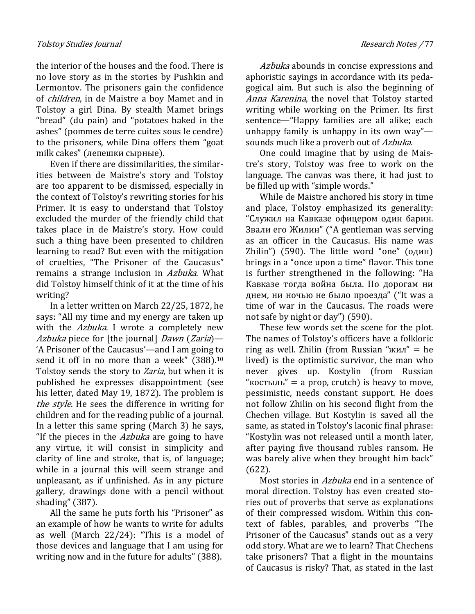the interior of the houses and the food. There is no love story as in the stories by Pushkin and Lermontov. The prisoners gain the confidence of children, in de Maistre a boy Mamet and in Tolstoy a girl Dina. By stealth Mamet brings "bread" (du pain) and "potatoes baked in the ashes" (pommes de terre cuites sous le cendre) to the prisoners, while Dina offers them "goat milk cakes" (лепешки сырные).

Even if there are dissimilarities, the similarities between de Maistre's story and Tolstoy are too apparent to be dismissed, especially in the context of Tolstoy's rewriting stories for his Primer. It is easy to understand that Tolstoy excluded the murder of the friendly child that takes place in de Maistre's story. How could such a thing have been presented to children learning to read? But even with the mitigation of cruelties, "The Prisoner of the Caucasus" remains a strange inclusion in Azbuka. What did Tolstoy himself think of it at the time of his writing?

In a letter written on March 22/25, 1872, he says: "All my time and my energy are taken up with the Azbuka. I wrote a completely new Azbuka piece for [the journal] Dawn (Zaria)— 'A Prisoner of the Caucasus'—and I am going to send it off in no more than a week" (388).<sup>10</sup> Tolstoy sends the story to Zaria, but when it is published he expresses disappointment (see his letter, dated May 19, 1872). The problem is the style. He sees the difference in writing for children and for the reading public of a journal. In a letter this same spring (March 3) he says, "If the pieces in the *Azbuka* are going to have any virtue, it will consist in simplicity and clarity of line and stroke, that is, of language; while in a journal this will seem strange and unpleasant, as if unfinished. As in any picture gallery, drawings done with a pencil without shading" (387).

All the same he puts forth his "Prisoner" as an example of how he wants to write for adults as well (March 22/24): "This is a model of those devices and language that I am using for writing now and in the future for adults" (388).

Azbuka abounds in concise expressions and aphoristic sayings in accordance with its pedagogical aim. But such is also the beginning of Anna Karenina, the novel that Tolstoy started writing while working on the Primer. Its first sentence—"Happy families are all alike; each unhappy family is unhappy in its own way" sounds much like a proverb out of Azbuka.

One could imagine that by using de Maistre's story, Tolstoy was free to work on the language. The canvas was there, it had just to be filled up with "simple words."

While de Maistre anchored his story in time and place, Tolstoy emphasized its generality: "Служил на Кавказе офицером один барин. Звали его Жилин" ("A gentleman was serving as an officer in the Caucasus. His name was Zhilin") (590). The little word "one" (один) brings in a "once upon a time" flavor. This tone is further strengthened in the following: "На Кавказе тогда война была. По дорогам ни днем, ни ночью не было проезда" ("It was a time of war in the Caucasus. The roads were not safe by night or day") (590).

These few words set the scene for the plot. The names of Tolstoy's officers have a folkloric ring as well. Zhilin (from Russian "жил" = he lived) is the optimistic survivor, the man who never gives up. Kostylin (from Russian "костыль" = a prop, crutch) is heavy to move, pessimistic, needs constant support. He does not follow Zhilin on his second flight from the Chechen village. But Kostylin is saved all the same, as stated in Tolstoy's laconic final phrase: "Kostylin was not released until a month later, after paying five thousand rubles ransom. He was barely alive when they brought him back" (622).

Most stories in *Azbuka* end in a sentence of moral direction. Tolstoy has even created stories out of proverbs that serve as explanations of their compressed wisdom. Within this context of fables, parables, and proverbs "The Prisoner of the Caucasus" stands out as a very odd story. What are we to learn? That Chechens take prisoners? That a flight in the mountains of Caucasus is risky? That, as stated in the last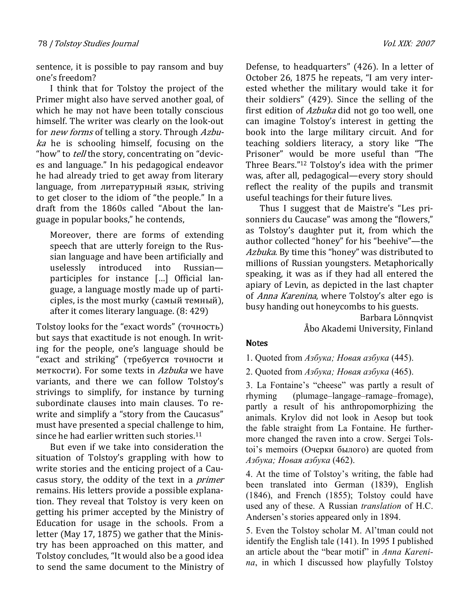sentence, it is possible to pay ransom and buy one's freedom?

I think that for Tolstoy the project of the Primer might also have served another goal, of which he may not have been totally conscious himself. The writer was clearly on the look-out for *new forms* of telling a story. Through Azbu $ka$  he is schooling himself, focusing on the "how" to *tell* the story, concentrating on "devices and language." In his pedagogical endeavor he had already tried to get away from literary language, from литературный язык, striving to get closer to the idiom of "the people." In a draft from the 1860s called "About the language in popular books," he contends,

Moreover, there are forms of extending speech that are utterly foreign to the Russian language and have been artificially and uselessly introduced into Russian participles for instance […] Official language, a language mostly made up of participles, is the most murky (самый темный), after it comes literary language. (8: 429)

Tolstoy looks for the "exact words" (точность) but says that exactitude is not enough. In writing for the people, one's language should be "exact and striking" (требуется точности и меткости). For some texts in Azbuka we have variants, and there we can follow Tolstoy's strivings to simplify, for instance by turning subordinate clauses into main clauses. To rewrite and simplify a "story from the Caucasus" must have presented a special challenge to him, since he had earlier written such stories.<sup>11</sup>

But even if we take into consideration the situation of Tolstoy's grappling with how to write stories and the enticing project of a Caucasus story, the oddity of the text in a primer remains. His letters provide a possible explanation. They reveal that Tolstoy is very keen on getting his primer accepted by the Ministry of Education for usage in the schools. From a letter (May 17, 1875) we gather that the Ministry has been approached on this matter, and Tolstoy concludes, "It would also be a good idea to send the same document to the Ministry of

Defense, to headquarters" (426). In a letter of October 26, 1875 he repeats, "I am very interested whether the military would take it for their soldiers" (429). Since the selling of the first edition of Azbuka did not go too well, one can imagine Tolstoy's interest in getting the book into the large military circuit. And for teaching soldiers literacy, a story like "The Prisoner" would be more useful than "The Three Bears."12 Tolstoy's idea with the primer was, after all, pedagogical—every story should reflect the reality of the pupils and transmit useful teachings for their future lives.

Thus I suggest that de Maistre's "Les prisonniers du Caucase" was among the "flowers," as Tolstoy's daughter put it, from which the author collected "honey" for his "beehive"—the Azbuka. By time this "honey" was distributed to millions of Russian youngsters. Metaphorically speaking, it was as if they had all entered the apiary of Levin, as depicted in the last chapter of Anna Karenina, where Tolstoy's alter ego is busy handing out honeycombs to his guests.

Barbara Lönnqvist Åbo Akademi University, Finland

### **Notes**

1. Quoted from Азбука; Новая азбука (445).

2. Quoted from Азбука; Новая азбука (465).

3. La Fontaine's "cheese" was partly a result of rhyming (plumage–langage–ramage–fromage), partly a result of his anthropomorphizing the animals. Krylov did not look in Aesop but took the fable straight from La Fontaine. He furthermore changed the raven into a crow. Sergei Tolstoi's memoirs (Очерки былого) are quoted from Азбука; Новая азбука (462).

4. At the time of Tolstoy's writing, the fable had been translated into German (1839), English (1846), and French (1855); Tolstoy could have used any of these. A Russian translation of H.C. Andersen's stories appeared only in 1894.

5. Even the Tolstoy scholar M. Al'tman could not identify the English tale (141). In 1995 I published an article about the "bear motif" in Anna Karenina, in which I discussed how playfully Tolstoy